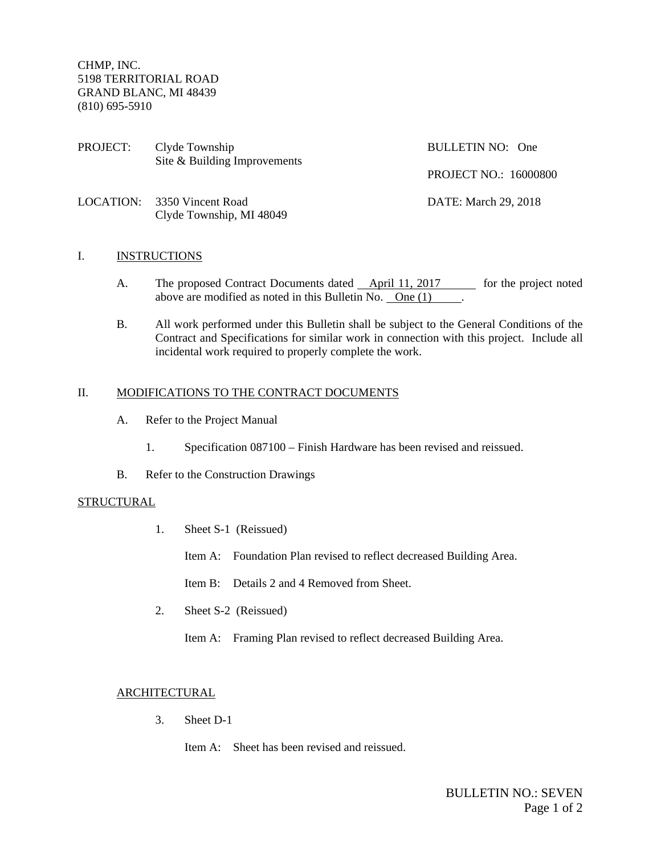CHMP, INC. 5198 TERRITORIAL ROAD GRAND BLANC, MI 48439 (810) 695-5910

PROJECT: Clyde Township BULLETIN NO: One Site & Building Improvements

PROJECT NO.: 16000800

LOCATION: 3350 Vincent Road DATE: March 29, 2018 Clyde Township, MI 48049

## I. INSTRUCTIONS

- A. The proposed Contract Documents dated April 11, 2017 for the project noted above are modified as noted in this Bulletin No. One (1) .  $\blacksquare$ .
- B. All work performed under this Bulletin shall be subject to the General Conditions of the Contract and Specifications for similar work in connection with this project. Include all incidental work required to properly complete the work.

## II. MODIFICATIONS TO THE CONTRACT DOCUMENTS

- A. Refer to the Project Manual
	- 1. Specification 087100 Finish Hardware has been revised and reissued.
- B. Refer to the Construction Drawings

## **STRUCTURAL**

- 1. Sheet S-1 (Reissued)
	- Item A: Foundation Plan revised to reflect decreased Building Area.

Item B: Details 2 and 4 Removed from Sheet.

- 2. Sheet S-2 (Reissued)
	- Item A: Framing Plan revised to reflect decreased Building Area.

## ARCHITECTURAL

- 3. Sheet D-1
	- Item A: Sheet has been revised and reissued.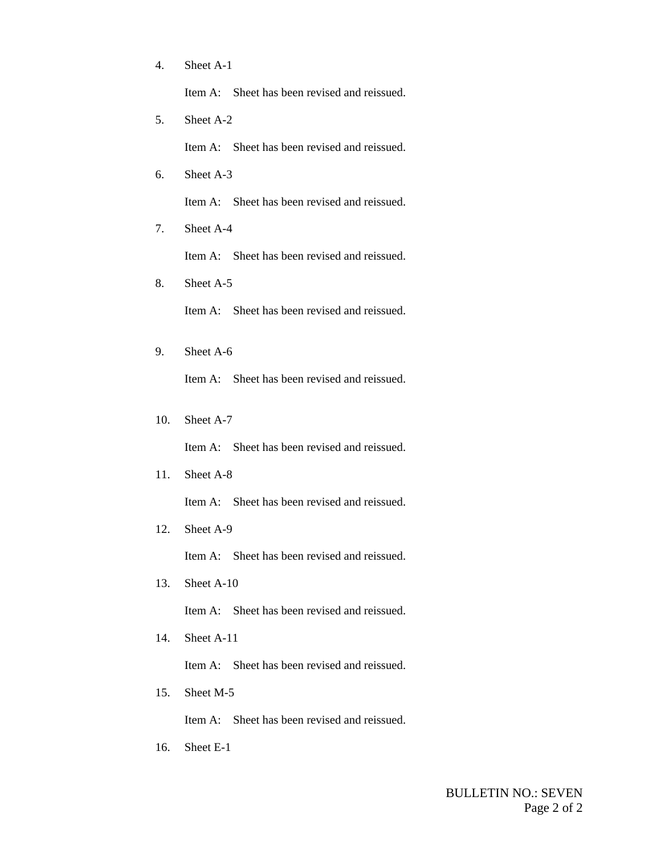4. Sheet A-1

Item A: Sheet has been revised and reissued.

5. Sheet A-2

Item A: Sheet has been revised and reissued.

6. Sheet A-3

Item A: Sheet has been revised and reissued.

7. Sheet A-4

Item A: Sheet has been revised and reissued.

8. Sheet A-5

Item A: Sheet has been revised and reissued.

- 9. Sheet A-6 Item A: Sheet has been revised and reissued.
- 10. Sheet A-7

Item A: Sheet has been revised and reissued.

11. Sheet A-8

Item A: Sheet has been revised and reissued.

12. Sheet A-9

Item A: Sheet has been revised and reissued.

13. Sheet A-10

Item A: Sheet has been revised and reissued.

14. Sheet A-11

Item A: Sheet has been revised and reissued.

15. Sheet M-5

Item A: Sheet has been revised and reissued.

16. Sheet E-1